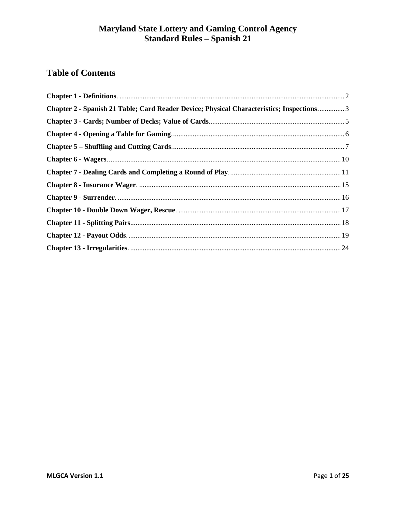# **Table of Contents**

<span id="page-0-0"></span>

| Chapter 2 - Spanish 21 Table; Card Reader Device; Physical Characteristics; Inspections 3 |  |
|-------------------------------------------------------------------------------------------|--|
|                                                                                           |  |
|                                                                                           |  |
|                                                                                           |  |
|                                                                                           |  |
|                                                                                           |  |
|                                                                                           |  |
|                                                                                           |  |
|                                                                                           |  |
|                                                                                           |  |
|                                                                                           |  |
|                                                                                           |  |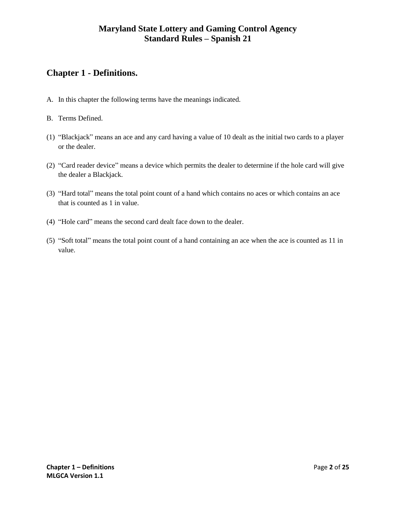# **Chapter 1 - Definitions.**

- A. In this chapter the following terms have the meanings indicated.
- B. Terms Defined.
- (1) "Blackjack" means an ace and any card having a value of 10 dealt as the initial two cards to a player or the dealer.
- (2) "Card reader device" means a device which permits the dealer to determine if the hole card will give the dealer a Blackjack.
- (3) "Hard total" means the total point count of a hand which contains no aces or which contains an ace that is counted as 1 in value.
- (4) "Hole card" means the second card dealt face down to the dealer.
- <span id="page-1-0"></span>(5) "Soft total" means the total point count of a hand containing an ace when the ace is counted as 11 in value.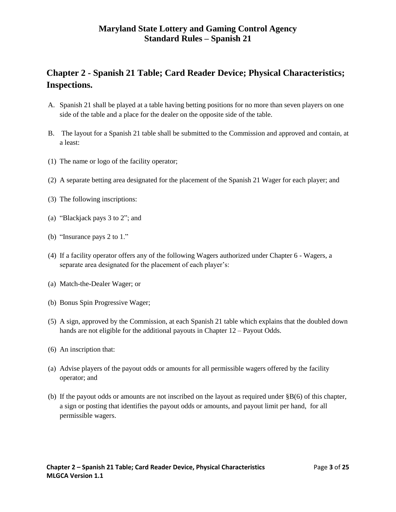# **Chapter 2 - Spanish 21 Table; Card Reader Device; Physical Characteristics; Inspections.**

- A. Spanish 21 shall be played at a table having betting positions for no more than seven players on one side of the table and a place for the dealer on the opposite side of the table.
- B. The layout for a Spanish 21 table shall be submitted to the Commission and approved and contain, at a least:
- (1) The name or logo of the facility operator;
- (2) A separate betting area designated for the placement of the Spanish 21 Wager for each player; and
- (3) The following inscriptions:
- (a) "Blackjack pays 3 to 2"; and
- (b) "Insurance pays 2 to 1."
- (4) If a facility operator offers any of the following Wagers authorized under Chapter 6 Wagers, a separate area designated for the placement of each player's:
- (a) Match-the-Dealer Wager; or
- (b) Bonus Spin Progressive Wager;
- (5) A sign, approved by the Commission, at each Spanish 21 table which explains that the doubled down hands are not eligible for the additional payouts in Chapter 12 – Payout Odds.
- (6) An inscription that:
- (a) Advise players of the payout odds or amounts for all permissible wagers offered by the facility operator; and
- (b) If the payout odds or amounts are not inscribed on the layout as required under §B(6) of this chapter, a sign or posting that identifies the payout odds or amounts, and payout limit per hand, for all permissible wagers.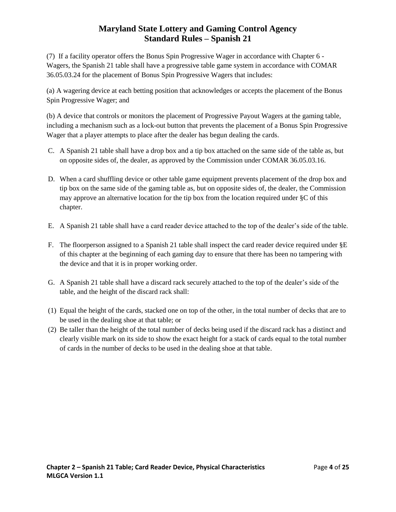(7) If a facility operator offers the Bonus Spin Progressive Wager in accordance with Chapter 6 - Wagers, the Spanish 21 table shall have a progressive table game system in accordance with COMAR 36.05.03.24 for the placement of Bonus Spin Progressive Wagers that includes:

(a) A wagering device at each betting position that acknowledges or accepts the placement of the Bonus Spin Progressive Wager; and

(b) A device that controls or monitors the placement of Progressive Payout Wagers at the gaming table, including a mechanism such as a lock-out button that prevents the placement of a Bonus Spin Progressive Wager that a player attempts to place after the dealer has begun dealing the cards.

- C. A Spanish 21 table shall have a drop box and a tip box attached on the same side of the table as, but on opposite sides of, the dealer, as approved by the Commission under COMAR 36.05.03.16.
- D. When a card shuffling device or other table game equipment prevents placement of the drop box and tip box on the same side of the gaming table as, but on opposite sides of, the dealer, the Commission may approve an alternative location for the tip box from the location required under §C of this chapter.
- E. A Spanish 21 table shall have a card reader device attached to the top of the dealer's side of the table.
- F. The floorperson assigned to a Spanish 21 table shall inspect the card reader device required under §E of this chapter at the beginning of each gaming day to ensure that there has been no tampering with the device and that it is in proper working order.
- G. A Spanish 21 table shall have a discard rack securely attached to the top of the dealer's side of the table, and the height of the discard rack shall:
- (1) Equal the height of the cards, stacked one on top of the other, in the total number of decks that are to be used in the dealing shoe at that table; or
- <span id="page-3-0"></span>(2) Be taller than the height of the total number of decks being used if the discard rack has a distinct and clearly visible mark on its side to show the exact height for a stack of cards equal to the total number of cards in the number of decks to be used in the dealing shoe at that table.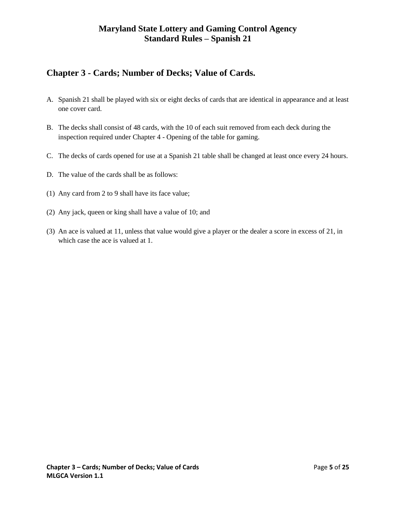# **Chapter 3 - Cards; Number of Decks; Value of Cards.**

- A. Spanish 21 shall be played with six or eight decks of cards that are identical in appearance and at least one cover card.
- B. The decks shall consist of 48 cards, with the 10 of each suit removed from each deck during the inspection required under Chapter 4 - Opening of the table for gaming.
- C. The decks of cards opened for use at a Spanish 21 table shall be changed at least once every 24 hours.
- D. The value of the cards shall be as follows:
- (1) Any card from 2 to 9 shall have its face value;
- (2) Any jack, queen or king shall have a value of 10; and
- <span id="page-4-0"></span>(3) An ace is valued at 11, unless that value would give a player or the dealer a score in excess of 21, in which case the ace is valued at 1.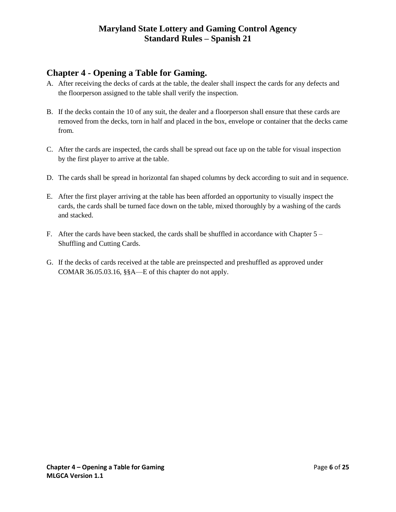# **Chapter 4 - Opening a Table for Gaming.**

- A. After receiving the decks of cards at the table, the dealer shall inspect the cards for any defects and the floorperson assigned to the table shall verify the inspection.
- B. If the decks contain the 10 of any suit, the dealer and a floorperson shall ensure that these cards are removed from the decks, torn in half and placed in the box, envelope or container that the decks came from.
- C. After the cards are inspected, the cards shall be spread out face up on the table for visual inspection by the first player to arrive at the table.
- D. The cards shall be spread in horizontal fan shaped columns by deck according to suit and in sequence.
- E. After the first player arriving at the table has been afforded an opportunity to visually inspect the cards, the cards shall be turned face down on the table, mixed thoroughly by a washing of the cards and stacked.
- F. After the cards have been stacked, the cards shall be shuffled in accordance with Chapter 5 Shuffling and Cutting Cards.
- <span id="page-5-0"></span>G. If the decks of cards received at the table are preinspected and preshuffled as approved under COMAR 36.05.03.16, §§A—E of this chapter do not apply.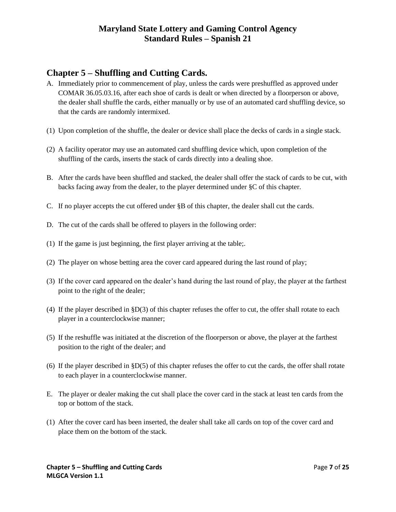# **Chapter 5 – Shuffling and Cutting Cards.**

- A. Immediately prior to commencement of play, unless the cards were preshuffled as approved under COMAR 36.05.03.16, after each shoe of cards is dealt or when directed by a floorperson or above, the dealer shall shuffle the cards, either manually or by use of an automated card shuffling device, so that the cards are randomly intermixed.
- (1) Upon completion of the shuffle, the dealer or device shall place the decks of cards in a single stack.
- (2) A facility operator may use an automated card shuffling device which, upon completion of the shuffling of the cards, inserts the stack of cards directly into a dealing shoe.
- B. After the cards have been shuffled and stacked, the dealer shall offer the stack of cards to be cut, with backs facing away from the dealer, to the player determined under §C of this chapter.
- C. If no player accepts the cut offered under §B of this chapter, the dealer shall cut the cards.
- D. The cut of the cards shall be offered to players in the following order:
- (1) If the game is just beginning, the first player arriving at the table;.
- (2) The player on whose betting area the cover card appeared during the last round of play;
- (3) If the cover card appeared on the dealer's hand during the last round of play, the player at the farthest point to the right of the dealer;
- (4) If the player described in §D(3) of this chapter refuses the offer to cut, the offer shall rotate to each player in a counterclockwise manner;
- (5) If the reshuffle was initiated at the discretion of the floorperson or above, the player at the farthest position to the right of the dealer; and
- (6) If the player described in  $\S D(5)$  of this chapter refuses the offer to cut the cards, the offer shall rotate to each player in a counterclockwise manner.
- E. The player or dealer making the cut shall place the cover card in the stack at least ten cards from the top or bottom of the stack.
- (1) After the cover card has been inserted, the dealer shall take all cards on top of the cover card and place them on the bottom of the stack.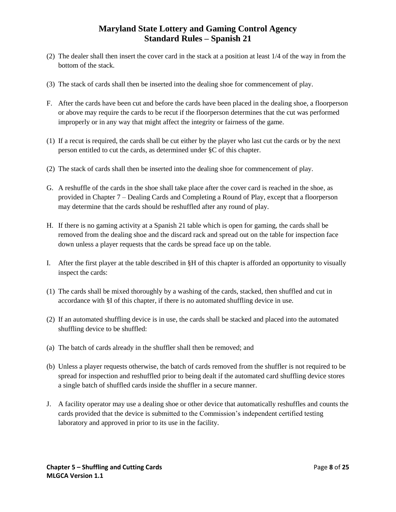- (2) The dealer shall then insert the cover card in the stack at a position at least 1/4 of the way in from the bottom of the stack.
- (3) The stack of cards shall then be inserted into the dealing shoe for commencement of play.
- F. After the cards have been cut and before the cards have been placed in the dealing shoe, a floorperson or above may require the cards to be recut if the floorperson determines that the cut was performed improperly or in any way that might affect the integrity or fairness of the game.
- (1) If a recut is required, the cards shall be cut either by the player who last cut the cards or by the next person entitled to cut the cards, as determined under §C of this chapter.
- (2) The stack of cards shall then be inserted into the dealing shoe for commencement of play.
- G. A reshuffle of the cards in the shoe shall take place after the cover card is reached in the shoe, as provided in Chapter 7 – Dealing Cards and Completing a Round of Play, except that a floorperson may determine that the cards should be reshuffled after any round of play.
- H. If there is no gaming activity at a Spanish 21 table which is open for gaming, the cards shall be removed from the dealing shoe and the discard rack and spread out on the table for inspection face down unless a player requests that the cards be spread face up on the table.
- I. After the first player at the table described in §H of this chapter is afforded an opportunity to visually inspect the cards:
- (1) The cards shall be mixed thoroughly by a washing of the cards, stacked, then shuffled and cut in accordance with §I of this chapter, if there is no automated shuffling device in use.
- (2) If an automated shuffling device is in use, the cards shall be stacked and placed into the automated shuffling device to be shuffled:
- (a) The batch of cards already in the shuffler shall then be removed; and
- (b) Unless a player requests otherwise, the batch of cards removed from the shuffler is not required to be spread for inspection and reshuffled prior to being dealt if the automated card shuffling device stores a single batch of shuffled cards inside the shuffler in a secure manner.
- J. A facility operator may use a dealing shoe or other device that automatically reshuffles and counts the cards provided that the device is submitted to the Commission's independent certified testing laboratory and approved in prior to its use in the facility.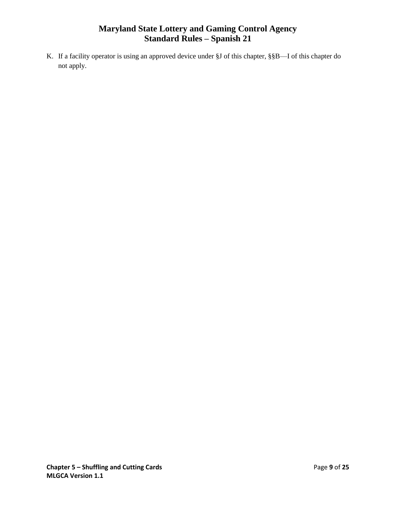<span id="page-8-0"></span>K. If a facility operator is using an approved device under §J of this chapter, §§B—I of this chapter do not apply.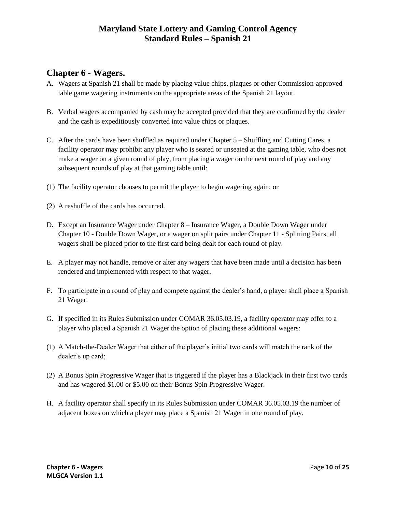## **Chapter 6 - Wagers.**

- A. Wagers at Spanish 21 shall be made by placing value chips, plaques or other Commission-approved table game wagering instruments on the appropriate areas of the Spanish 21 layout.
- B. Verbal wagers accompanied by cash may be accepted provided that they are confirmed by the dealer and the cash is expeditiously converted into value chips or plaques.
- C. After the cards have been shuffled as required under Chapter 5 Shuffling and Cutting Cares, a facility operator may prohibit any player who is seated or unseated at the gaming table, who does not make a wager on a given round of play, from placing a wager on the next round of play and any subsequent rounds of play at that gaming table until:
- (1) The facility operator chooses to permit the player to begin wagering again; or
- (2) A reshuffle of the cards has occurred.
- D. Except an Insurance Wager under Chapter 8 Insurance Wager, a Double Down Wager under Chapter 10 - Double Down Wager, or a wager on split pairs under Chapter 11 - Splitting Pairs, all wagers shall be placed prior to the first card being dealt for each round of play.
- E. A player may not handle, remove or alter any wagers that have been made until a decision has been rendered and implemented with respect to that wager.
- F. To participate in a round of play and compete against the dealer's hand, a player shall place a Spanish 21 Wager.
- G. If specified in its Rules Submission under COMAR 36.05.03.19, a facility operator may offer to a player who placed a Spanish 21 Wager the option of placing these additional wagers:
- (1) A Match-the-Dealer Wager that either of the player's initial two cards will match the rank of the dealer's up card;
- (2) A Bonus Spin Progressive Wager that is triggered if the player has a Blackjack in their first two cards and has wagered \$1.00 or \$5.00 on their Bonus Spin Progressive Wager.
- <span id="page-9-0"></span>H. A facility operator shall specify in its Rules Submission under COMAR 36.05.03.19 the number of adjacent boxes on which a player may place a Spanish 21 Wager in one round of play.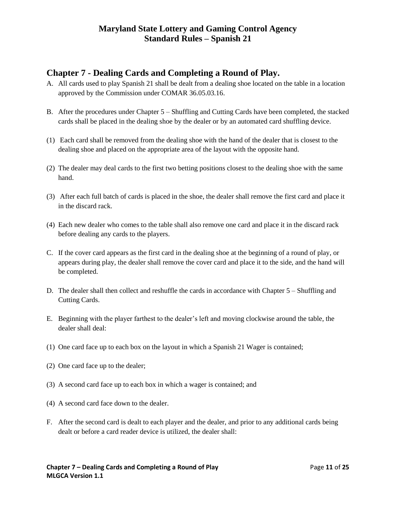## **Chapter 7 - Dealing Cards and Completing a Round of Play.**

- A. All cards used to play Spanish 21 shall be dealt from a dealing shoe located on the table in a location approved by the Commission under COMAR 36.05.03.16.
- B. After the procedures under Chapter 5 Shuffling and Cutting Cards have been completed, the stacked cards shall be placed in the dealing shoe by the dealer or by an automated card shuffling device.
- (1) Each card shall be removed from the dealing shoe with the hand of the dealer that is closest to the dealing shoe and placed on the appropriate area of the layout with the opposite hand.
- (2) The dealer may deal cards to the first two betting positions closest to the dealing shoe with the same hand.
- (3) After each full batch of cards is placed in the shoe, the dealer shall remove the first card and place it in the discard rack.
- (4) Each new dealer who comes to the table shall also remove one card and place it in the discard rack before dealing any cards to the players.
- C. If the cover card appears as the first card in the dealing shoe at the beginning of a round of play, or appears during play, the dealer shall remove the cover card and place it to the side, and the hand will be completed.
- D. The dealer shall then collect and reshuffle the cards in accordance with Chapter 5 Shuffling and Cutting Cards.
- E. Beginning with the player farthest to the dealer's left and moving clockwise around the table, the dealer shall deal:
- (1) One card face up to each box on the layout in which a Spanish 21 Wager is contained;
- (2) One card face up to the dealer;
- (3) A second card face up to each box in which a wager is contained; and
- (4) A second card face down to the dealer.
- F. After the second card is dealt to each player and the dealer, and prior to any additional cards being dealt or before a card reader device is utilized, the dealer shall: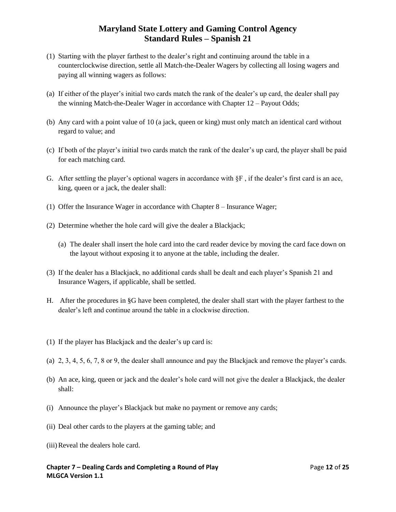- (1) Starting with the player farthest to the dealer's right and continuing around the table in a counterclockwise direction, settle all Match-the-Dealer Wagers by collecting all losing wagers and paying all winning wagers as follows:
- (a) If either of the player's initial two cards match the rank of the dealer's up card, the dealer shall pay the winning Match-the-Dealer Wager in accordance with Chapter 12 – Payout Odds;
- (b) Any card with a point value of 10 (a jack, queen or king) must only match an identical card without regard to value; and
- (c) If both of the player's initial two cards match the rank of the dealer's up card, the player shall be paid for each matching card.
- G. After settling the player's optional wagers in accordance with  $\S F$ , if the dealer's first card is an ace, king, queen or a jack, the dealer shall:
- (1) Offer the Insurance Wager in accordance with Chapter 8 Insurance Wager;
- (2) Determine whether the hole card will give the dealer a Blackjack;
	- (a) The dealer shall insert the hole card into the card reader device by moving the card face down on the layout without exposing it to anyone at the table, including the dealer.
- (3) If the dealer has a Blackjack, no additional cards shall be dealt and each player's Spanish 21 and Insurance Wagers, if applicable, shall be settled.
- H. After the procedures in §G have been completed, the dealer shall start with the player farthest to the dealer's left and continue around the table in a clockwise direction.
- (1) If the player has Blackjack and the dealer's up card is:
- (a) 2, 3, 4, 5, 6, 7, 8 or 9, the dealer shall announce and pay the Blackjack and remove the player's cards.
- (b) An ace, king, queen or jack and the dealer's hole card will not give the dealer a Blackjack, the dealer shall:
- (i) Announce the player's Blackjack but make no payment or remove any cards;
- (ii) Deal other cards to the players at the gaming table; and
- (iii)Reveal the dealers hole card.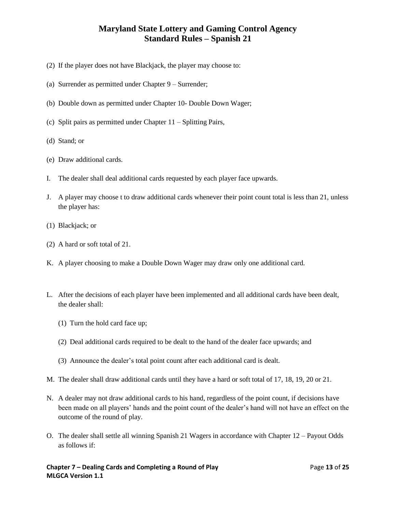- (2) If the player does not have Blackjack, the player may choose to:
- (a) Surrender as permitted under Chapter 9 Surrender;
- (b) Double down as permitted under Chapter 10- Double Down Wager;
- (c) Split pairs as permitted under Chapter 11 Splitting Pairs,
- (d) Stand; or
- (e) Draw additional cards.
- I. The dealer shall deal additional cards requested by each player face upwards.
- J. A player may choose t to draw additional cards whenever their point count total is less than 21, unless the player has:
- (1) Blackjack; or
- (2) A hard or soft total of 21.
- K. A player choosing to make a Double Down Wager may draw only one additional card.
- L. After the decisions of each player have been implemented and all additional cards have been dealt, the dealer shall:
	- (1) Turn the hold card face up;
	- (2) Deal additional cards required to be dealt to the hand of the dealer face upwards; and
	- (3) Announce the dealer's total point count after each additional card is dealt.
- M. The dealer shall draw additional cards until they have a hard or soft total of 17, 18, 19, 20 or 21.
- N. A dealer may not draw additional cards to his hand, regardless of the point count, if decisions have been made on all players' hands and the point count of the dealer's hand will not have an effect on the outcome of the round of play.
- O. The dealer shall settle all winning Spanish 21 Wagers in accordance with Chapter 12 Payout Odds as follows if: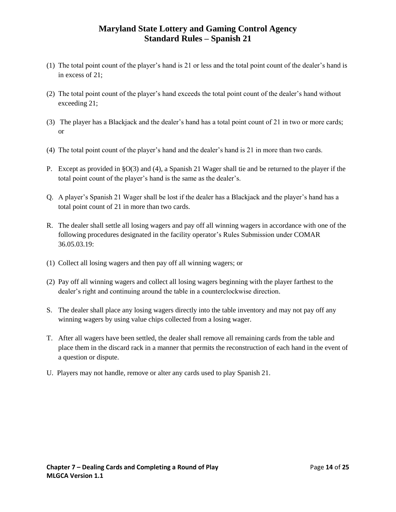- (1) The total point count of the player's hand is 21 or less and the total point count of the dealer's hand is in excess of 21;
- (2) The total point count of the player's hand exceeds the total point count of the dealer's hand without exceeding 21;
- (3) The player has a Blackjack and the dealer's hand has a total point count of 21 in two or more cards; or
- (4) The total point count of the player's hand and the dealer's hand is 21 in more than two cards.
- P. Except as provided in §O(3) and (4), a Spanish 21 Wager shall tie and be returned to the player if the total point count of the player's hand is the same as the dealer's.
- Q. A player's Spanish 21 Wager shall be lost if the dealer has a Blackjack and the player's hand has a total point count of 21 in more than two cards.
- R. The dealer shall settle all losing wagers and pay off all winning wagers in accordance with one of the following procedures designated in the facility operator's Rules Submission under COMAR 36.05.03.19:
- (1) Collect all losing wagers and then pay off all winning wagers; or
- (2) Pay off all winning wagers and collect all losing wagers beginning with the player farthest to the dealer's right and continuing around the table in a counterclockwise direction.
- S. The dealer shall place any losing wagers directly into the table inventory and may not pay off any winning wagers by using value chips collected from a losing wager.
- T. After all wagers have been settled, the dealer shall remove all remaining cards from the table and place them in the discard rack in a manner that permits the reconstruction of each hand in the event of a question or dispute.
- <span id="page-13-0"></span>U. Players may not handle, remove or alter any cards used to play Spanish 21.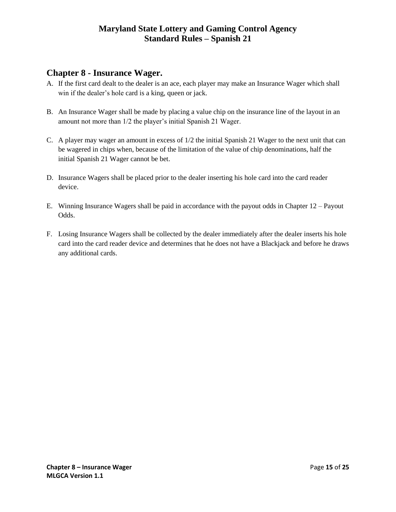# **Chapter 8 - Insurance Wager.**

- A. If the first card dealt to the dealer is an ace, each player may make an Insurance Wager which shall win if the dealer's hole card is a king, queen or jack.
- B. An Insurance Wager shall be made by placing a value chip on the insurance line of the layout in an amount not more than 1/2 the player's initial Spanish 21 Wager.
- C. A player may wager an amount in excess of 1/2 the initial Spanish 21 Wager to the next unit that can be wagered in chips when, because of the limitation of the value of chip denominations, half the initial Spanish 21 Wager cannot be bet.
- D. Insurance Wagers shall be placed prior to the dealer inserting his hole card into the card reader device.
- E. Winning Insurance Wagers shall be paid in accordance with the payout odds in Chapter 12 Payout Odds.
- <span id="page-14-0"></span>F. Losing Insurance Wagers shall be collected by the dealer immediately after the dealer inserts his hole card into the card reader device and determines that he does not have a Blackjack and before he draws any additional cards.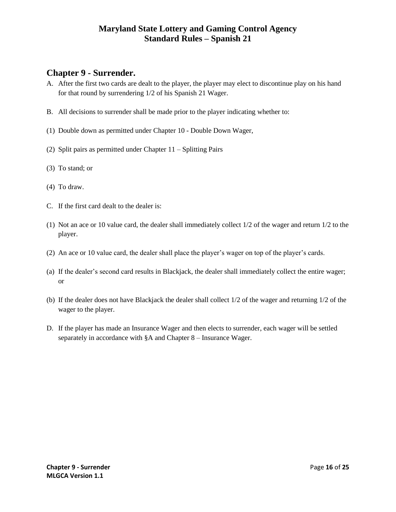#### **Chapter 9 - Surrender.**

- A. After the first two cards are dealt to the player, the player may elect to discontinue play on his hand for that round by surrendering 1/2 of his Spanish 21 Wager.
- B. All decisions to surrender shall be made prior to the player indicating whether to:
- (1) Double down as permitted under Chapter 10 Double Down Wager,
- (2) Split pairs as permitted under Chapter 11 Splitting Pairs
- (3) To stand; or
- (4) To draw.
- C. If the first card dealt to the dealer is:
- (1) Not an ace or 10 value card, the dealer shall immediately collect 1/2 of the wager and return 1/2 to the player.
- (2) An ace or 10 value card, the dealer shall place the player's wager on top of the player's cards.
- (a) If the dealer's second card results in Blackjack, the dealer shall immediately collect the entire wager; or
- (b) If the dealer does not have Blackjack the dealer shall collect 1/2 of the wager and returning 1/2 of the wager to the player.
- <span id="page-15-0"></span>D. If the player has made an Insurance Wager and then elects to surrender, each wager will be settled separately in accordance with §A and Chapter 8 – Insurance Wager.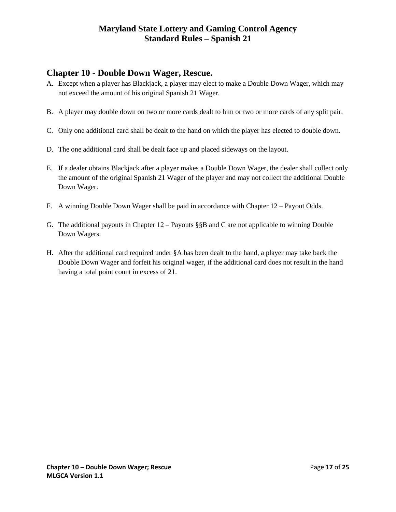# **Chapter 10 - Double Down Wager, Rescue.**

- A. Except when a player has Blackjack, a player may elect to make a Double Down Wager, which may not exceed the amount of his original Spanish 21 Wager.
- B. A player may double down on two or more cards dealt to him or two or more cards of any split pair.
- C. Only one additional card shall be dealt to the hand on which the player has elected to double down.
- D. The one additional card shall be dealt face up and placed sideways on the layout.
- E. If a dealer obtains Blackjack after a player makes a Double Down Wager, the dealer shall collect only the amount of the original Spanish 21 Wager of the player and may not collect the additional Double Down Wager.
- F. A winning Double Down Wager shall be paid in accordance with Chapter 12 Payout Odds.
- G. The additional payouts in Chapter  $12 -$  Payouts §§B and C are not applicable to winning Double Down Wagers.
- <span id="page-16-0"></span>H. After the additional card required under §A has been dealt to the hand, a player may take back the Double Down Wager and forfeit his original wager, if the additional card does not result in the hand having a total point count in excess of 21.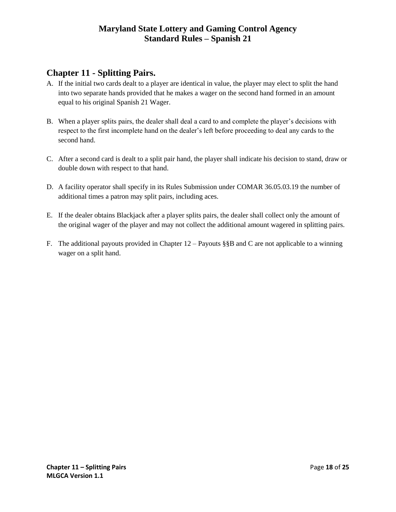# **Chapter 11 - Splitting Pairs.**

- A. If the initial two cards dealt to a player are identical in value, the player may elect to split the hand into two separate hands provided that he makes a wager on the second hand formed in an amount equal to his original Spanish 21 Wager.
- B. When a player splits pairs, the dealer shall deal a card to and complete the player's decisions with respect to the first incomplete hand on the dealer's left before proceeding to deal any cards to the second hand.
- C. After a second card is dealt to a split pair hand, the player shall indicate his decision to stand, draw or double down with respect to that hand.
- D. A facility operator shall specify in its Rules Submission under COMAR 36.05.03.19 the number of additional times a patron may split pairs, including aces.
- E. If the dealer obtains Blackjack after a player splits pairs, the dealer shall collect only the amount of the original wager of the player and may not collect the additional amount wagered in splitting pairs.
- <span id="page-17-0"></span>F. The additional payouts provided in Chapter 12 – Payouts §§B and C are not applicable to a winning wager on a split hand.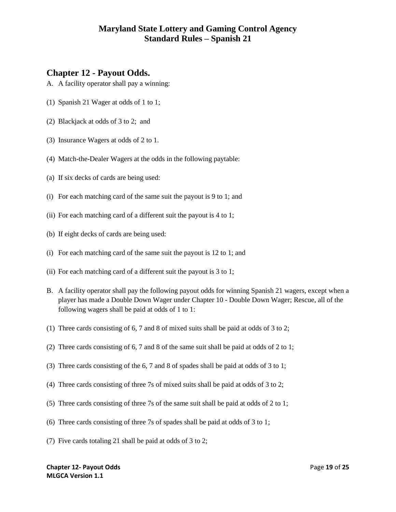#### **Chapter 12 - Payout Odds.**

- A. A facility operator shall pay a winning:
- (1) Spanish 21 Wager at odds of 1 to 1;
- (2) Blackjack at odds of 3 to 2; and
- (3) Insurance Wagers at odds of 2 to 1.
- (4) Match-the-Dealer Wagers at the odds in the following paytable:
- (a) If six decks of cards are being used:
- (i) For each matching card of the same suit the payout is 9 to 1; and
- (ii) For each matching card of a different suit the payout is 4 to 1;
- (b) If eight decks of cards are being used:
- (i) For each matching card of the same suit the payout is 12 to 1; and
- (ii) For each matching card of a different suit the payout is 3 to 1;
- B. A facility operator shall pay the following payout odds for winning Spanish 21 wagers, except when a player has made a Double Down Wager under Chapter 10 - Double Down Wager; Rescue, all of the following wagers shall be paid at odds of 1 to 1:
- (1) Three cards consisting of 6, 7 and 8 of mixed suits shall be paid at odds of 3 to 2;
- (2) Three cards consisting of 6, 7 and 8 of the same suit shall be paid at odds of 2 to 1;
- (3) Three cards consisting of the 6, 7 and 8 of spades shall be paid at odds of 3 to 1;
- (4) Three cards consisting of three 7s of mixed suits shall be paid at odds of 3 to 2;
- (5) Three cards consisting of three 7s of the same suit shall be paid at odds of 2 to 1;
- (6) Three cards consisting of three 7s of spades shall be paid at odds of 3 to 1;
- (7) Five cards totaling 21 shall be paid at odds of 3 to 2;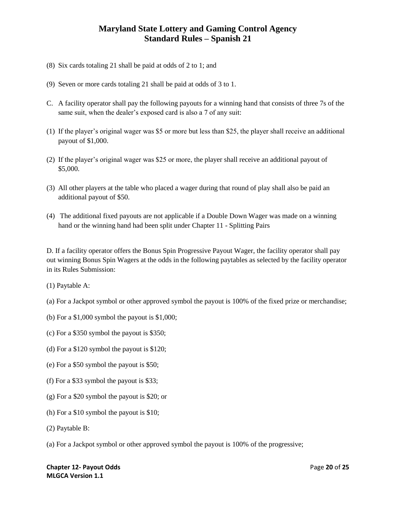- (8) Six cards totaling 21 shall be paid at odds of 2 to 1; and
- (9) Seven or more cards totaling 21 shall be paid at odds of 3 to 1.
- C. A facility operator shall pay the following payouts for a winning hand that consists of three 7s of the same suit, when the dealer's exposed card is also a 7 of any suit:
- (1) If the player's original wager was \$5 or more but less than \$25, the player shall receive an additional payout of \$1,000.
- (2) If the player's original wager was \$25 or more, the player shall receive an additional payout of \$5,000.
- (3) All other players at the table who placed a wager during that round of play shall also be paid an additional payout of \$50.
- (4) The additional fixed payouts are not applicable if a Double Down Wager was made on a winning hand or the winning hand had been split under Chapter 11 - Splitting Pairs

D. If a facility operator offers the Bonus Spin Progressive Payout Wager, the facility operator shall pay out winning Bonus Spin Wagers at the odds in the following paytables as selected by the facility operator in its Rules Submission:

- (1) Paytable A:
- (a) For a Jackpot symbol or other approved symbol the payout is 100% of the fixed prize or merchandise;
- (b) For a \$1,000 symbol the payout is \$1,000;
- (c) For a \$350 symbol the payout is \$350;
- (d) For a \$120 symbol the payout is \$120;
- (e) For a \$50 symbol the payout is \$50;
- (f) For a \$33 symbol the payout is \$33;
- (g) For a \$20 symbol the payout is \$20; or
- (h) For a \$10 symbol the payout is \$10;
- (2) Paytable B:
- (a) For a Jackpot symbol or other approved symbol the payout is 100% of the progressive;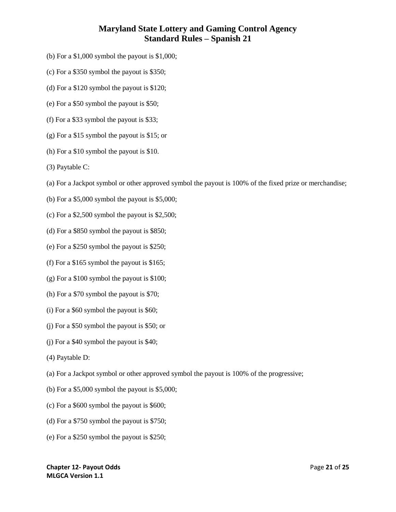- (b) For a \$1,000 symbol the payout is \$1,000;
- (c) For a \$350 symbol the payout is \$350;
- (d) For a \$120 symbol the payout is \$120;
- (e) For a \$50 symbol the payout is \$50;
- (f) For a \$33 symbol the payout is \$33;
- (g) For a \$15 symbol the payout is \$15; or
- (h) For a \$10 symbol the payout is \$10.
- (3) Paytable C:
- (a) For a Jackpot symbol or other approved symbol the payout is 100% of the fixed prize or merchandise;
- (b) For a  $$5,000$  symbol the payout is  $$5,000$ ;
- (c) For a \$2,500 symbol the payout is \$2,500;
- (d) For a \$850 symbol the payout is \$850;
- (e) For a \$250 symbol the payout is \$250;
- (f) For a \$165 symbol the payout is \$165;
- (g) For a \$100 symbol the payout is \$100;
- (h) For a \$70 symbol the payout is \$70;
- (i) For a \$60 symbol the payout is \$60;
- (j) For a \$50 symbol the payout is \$50; or
- (j) For a \$40 symbol the payout is \$40;
- (4) Paytable D:
- (a) For a Jackpot symbol or other approved symbol the payout is 100% of the progressive;
- (b) For a \$5,000 symbol the payout is \$5,000;
- (c) For a \$600 symbol the payout is \$600;
- (d) For a \$750 symbol the payout is \$750;
- (e) For a \$250 symbol the payout is \$250;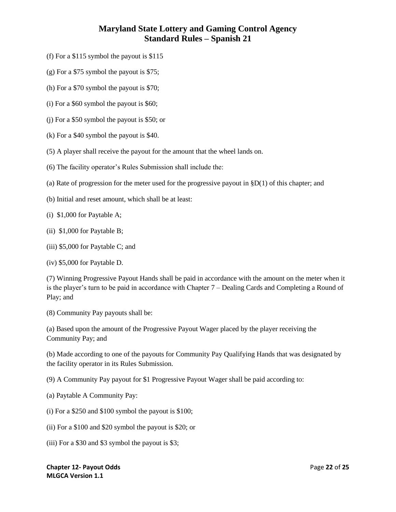- (f) For a \$115 symbol the payout is \$115
- (g) For a \$75 symbol the payout is \$75;
- (h) For a \$70 symbol the payout is \$70;
- (i) For a \$60 symbol the payout is \$60;
- (j) For a \$50 symbol the payout is \$50; or
- (k) For a \$40 symbol the payout is \$40.
- (5) A player shall receive the payout for the amount that the wheel lands on.
- (6) The facility operator's Rules Submission shall include the:
- (a) Rate of progression for the meter used for the progressive payout in  $\S D(1)$  of this chapter; and
- (b) Initial and reset amount, which shall be at least:
- (i) \$1,000 for Paytable A;
- (ii) \$1,000 for Paytable B;
- (iii) \$5,000 for Paytable C; and
- (iv) \$5,000 for Paytable D.

(7) Winning Progressive Payout Hands shall be paid in accordance with the amount on the meter when it is the player's turn to be paid in accordance with Chapter 7 – Dealing Cards and Completing a Round of Play; and

(8) Community Pay payouts shall be:

(a) Based upon the amount of the Progressive Payout Wager placed by the player receiving the Community Pay; and

(b) Made according to one of the payouts for Community Pay Qualifying Hands that was designated by the facility operator in its Rules Submission.

(9) A Community Pay payout for \$1 Progressive Payout Wager shall be paid according to:

- (a) Paytable A Community Pay:
- (i) For a \$250 and \$100 symbol the payout is \$100;
- (ii) For a \$100 and \$20 symbol the payout is \$20; or
- (iii) For a \$30 and \$3 symbol the payout is \$3;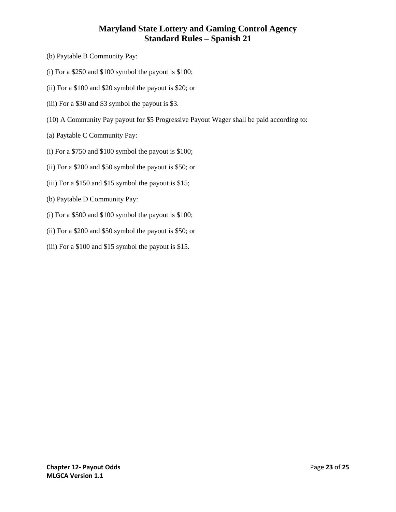- (b) Paytable B Community Pay:
- (i) For a \$250 and \$100 symbol the payout is \$100;
- (ii) For a \$100 and \$20 symbol the payout is \$20; or
- (iii) For a \$30 and \$3 symbol the payout is \$3.
- (10) A Community Pay payout for \$5 Progressive Payout Wager shall be paid according to:
- (a) Paytable C Community Pay:
- (i) For a \$750 and \$100 symbol the payout is \$100;
- (ii) For a \$200 and \$50 symbol the payout is \$50; or
- (iii) For a \$150 and \$15 symbol the payout is \$15;
- (b) Paytable D Community Pay:
- (i) For a \$500 and \$100 symbol the payout is \$100;
- (ii) For a \$200 and \$50 symbol the payout is \$50; or
- <span id="page-22-0"></span>(iii) For a \$100 and \$15 symbol the payout is \$15.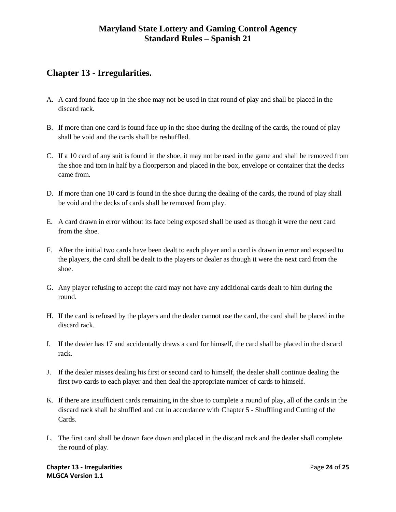# **Chapter 13 - Irregularities.**

- A. A card found face up in the shoe may not be used in that round of play and shall be placed in the discard rack.
- B. If more than one card is found face up in the shoe during the dealing of the cards, the round of play shall be void and the cards shall be reshuffled.
- C. If a 10 card of any suit is found in the shoe, it may not be used in the game and shall be removed from the shoe and torn in half by a floorperson and placed in the box, envelope or container that the decks came from.
- D. If more than one 10 card is found in the shoe during the dealing of the cards, the round of play shall be void and the decks of cards shall be removed from play.
- E. A card drawn in error without its face being exposed shall be used as though it were the next card from the shoe.
- F. After the initial two cards have been dealt to each player and a card is drawn in error and exposed to the players, the card shall be dealt to the players or dealer as though it were the next card from the shoe.
- G. Any player refusing to accept the card may not have any additional cards dealt to him during the round.
- H. If the card is refused by the players and the dealer cannot use the card, the card shall be placed in the discard rack.
- I. If the dealer has 17 and accidentally draws a card for himself, the card shall be placed in the discard rack.
- J. If the dealer misses dealing his first or second card to himself, the dealer shall continue dealing the first two cards to each player and then deal the appropriate number of cards to himself.
- K. If there are insufficient cards remaining in the shoe to complete a round of play, all of the cards in the discard rack shall be shuffled and cut in accordance with Chapter 5 - Shuffling and Cutting of the Cards.
- L. The first card shall be drawn face down and placed in the discard rack and the dealer shall complete the round of play.